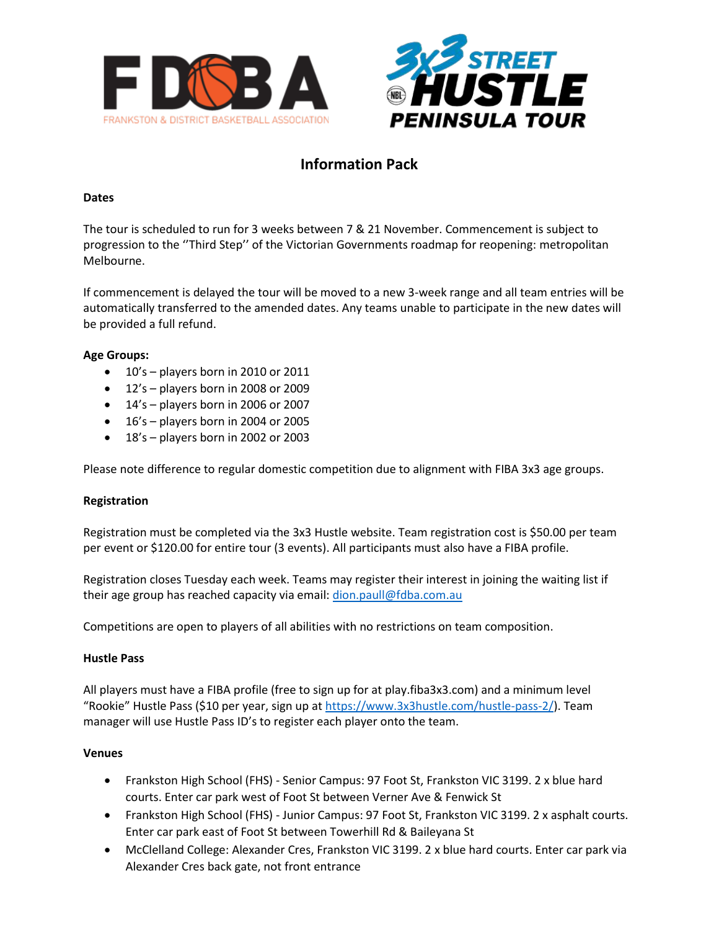



# **Information Pack**

## **Dates**

The tour is scheduled to run for 3 weeks between 7 & 21 November. Commencement is subject to progression to the ''Third Step'' of the Victorian Governments roadmap for reopening: metropolitan Melbourne.

If commencement is delayed the tour will be moved to a new 3-week range and all team entries will be automatically transferred to the amended dates. Any teams unable to participate in the new dates will be provided a full refund.

## **Age Groups:**

- 10's players born in 2010 or 2011
- 12's players born in 2008 or 2009
- 14's players born in 2006 or 2007
- 16's players born in 2004 or 2005
- 18's players born in 2002 or 2003

Please note difference to regular domestic competition due to alignment with FIBA 3x3 age groups.

## **Registration**

Registration must be completed via the 3x3 Hustle website. Team registration cost is \$50.00 per team per event or \$120.00 for entire tour (3 events). All participants must also have a FIBA profile.

Registration closes Tuesday each week. Teams may register their interest in joining the waiting list if their age group has reached capacity via email: [dion.paull@fdba.com.au](mailto:dion.paull@fdba.com.au)

Competitions are open to players of all abilities with no restrictions on team composition.

## **Hustle Pass**

All players must have a FIBA profile (free to sign up for at play.fiba3x3.com) and a minimum level "Rookie" Hustle Pass (\$10 per year, sign up at [https://www.3x3hustle.com/hustle-pass-2/\)](https://www.3x3hustle.com/hustle-pass-2/). Team manager will use Hustle Pass ID's to register each player onto the team.

## **Venues**

- Frankston High School (FHS) Senior Campus: 97 Foot St, Frankston VIC 3199. 2 x blue hard courts. Enter car park west of Foot St between Verner Ave & Fenwick St
- Frankston High School (FHS) Junior Campus: 97 Foot St, Frankston VIC 3199. 2 x asphalt courts. Enter car park east of Foot St between Towerhill Rd & Baileyana St
- McClelland College: Alexander Cres, Frankston VIC 3199. 2 x blue hard courts. Enter car park via Alexander Cres back gate, not front entrance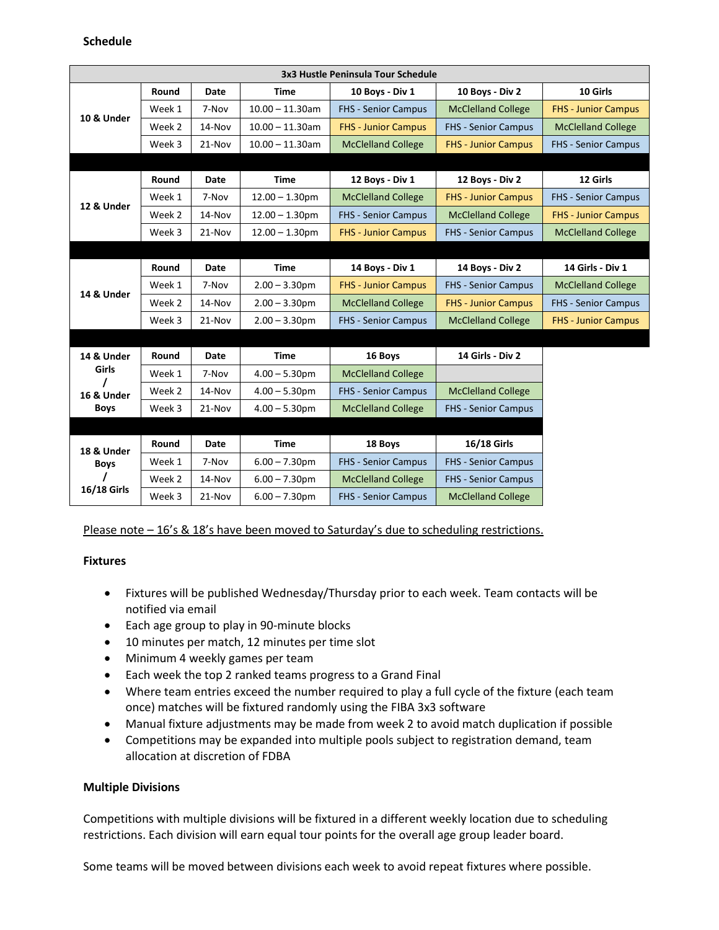| 3x3 Hustle Peninsula Tour Schedule |        |             |                    |                            |                            |                            |  |  |  |  |
|------------------------------------|--------|-------------|--------------------|----------------------------|----------------------------|----------------------------|--|--|--|--|
|                                    | Round  | Date        | Time               | 10 Boys - Div 1            | 10 Boys - Div 2            | 10 Girls                   |  |  |  |  |
| 10 & Under                         | Week 1 | 7-Nov       | $10.00 - 11.30$ am | <b>FHS - Senior Campus</b> | <b>McClelland College</b>  | <b>FHS - Junior Campus</b> |  |  |  |  |
|                                    | Week 2 | 14-Nov      | $10.00 - 11.30$ am | <b>FHS - Junior Campus</b> | <b>FHS - Senior Campus</b> | <b>McClelland College</b>  |  |  |  |  |
|                                    | Week 3 | 21-Nov      | $10.00 - 11.30$ am | <b>McClelland College</b>  | <b>FHS - Junior Campus</b> | <b>FHS - Senior Campus</b> |  |  |  |  |
|                                    |        |             |                    |                            |                            |                            |  |  |  |  |
|                                    | Round  | <b>Date</b> | <b>Time</b>        | 12 Boys - Div 1            | 12 Boys - Div 2            | 12 Girls                   |  |  |  |  |
| 12 & Under                         | Week 1 | 7-Nov       | $12.00 - 1.30$ pm  | <b>McClelland College</b>  | <b>FHS - Junior Campus</b> | <b>FHS - Senior Campus</b> |  |  |  |  |
|                                    | Week 2 | 14-Nov      | $12.00 - 1.30$ pm  | <b>FHS</b> - Senior Campus | <b>McClelland College</b>  | <b>FHS - Junior Campus</b> |  |  |  |  |
|                                    | Week 3 | 21-Nov      | $12.00 - 1.30$ pm  | <b>FHS - Junior Campus</b> | <b>FHS - Senior Campus</b> | <b>McClelland College</b>  |  |  |  |  |
|                                    |        |             |                    |                            |                            |                            |  |  |  |  |
|                                    | Round  | <b>Date</b> | <b>Time</b>        | 14 Boys - Div 1            | 14 Boys - Div 2            | 14 Girls - Div 1           |  |  |  |  |
| 14 & Under                         | Week 1 | 7-Nov       | $2.00 - 3.30$ pm   | <b>FHS - Junior Campus</b> | <b>FHS - Senior Campus</b> | <b>McClelland College</b>  |  |  |  |  |
|                                    | Week 2 | 14-Nov      | $2.00 - 3.30$ pm   | <b>McClelland College</b>  | <b>FHS - Junior Campus</b> | <b>FHS - Senior Campus</b> |  |  |  |  |
|                                    | Week 3 | 21-Nov      | $2.00 - 3.30$ pm   | <b>FHS - Senior Campus</b> | <b>McClelland College</b>  | <b>FHS - Junior Campus</b> |  |  |  |  |
|                                    |        |             |                    |                            |                            |                            |  |  |  |  |
| 14 & Under                         | Round  | Date        | <b>Time</b>        | 16 Boys                    | 14 Girls - Div 2           |                            |  |  |  |  |
| <b>Girls</b>                       | Week 1 | 7-Nov       | $4.00 - 5.30$ pm   | <b>McClelland College</b>  |                            |                            |  |  |  |  |
| 16 & Under                         | Week 2 | 14-Nov      | $4.00 - 5.30$ pm   | <b>FHS - Senior Campus</b> | <b>McClelland College</b>  |                            |  |  |  |  |
| <b>Boys</b>                        | Week 3 | 21-Nov      | $4.00 - 5.30$ pm   | <b>McClelland College</b>  | <b>FHS - Senior Campus</b> |                            |  |  |  |  |
|                                    |        |             |                    |                            |                            |                            |  |  |  |  |
| 18 & Under                         | Round  | <b>Date</b> | <b>Time</b>        | 18 Boys                    | <b>16/18 Girls</b>         |                            |  |  |  |  |
| <b>Boys</b><br><b>16/18 Girls</b>  | Week 1 | 7-Nov       | $6.00 - 7.30$ pm   | <b>FHS - Senior Campus</b> | <b>FHS - Senior Campus</b> |                            |  |  |  |  |
|                                    | Week 2 | 14-Nov      | $6.00 - 7.30$ pm   | <b>McClelland College</b>  | <b>FHS - Senior Campus</b> |                            |  |  |  |  |
|                                    | Week 3 | 21-Nov      | $6.00 - 7.30$ pm   | <b>FHS - Senior Campus</b> | <b>McClelland College</b>  |                            |  |  |  |  |

Please note – 16's & 18's have been moved to Saturday's due to scheduling restrictions.

## **Fixtures**

- Fixtures will be published Wednesday/Thursday prior to each week. Team contacts will be notified via email
- Each age group to play in 90-minute blocks
- 10 minutes per match, 12 minutes per time slot
- Minimum 4 weekly games per team
- Each week the top 2 ranked teams progress to a Grand Final
- Where team entries exceed the number required to play a full cycle of the fixture (each team once) matches will be fixtured randomly using the FIBA 3x3 software
- Manual fixture adjustments may be made from week 2 to avoid match duplication if possible
- Competitions may be expanded into multiple pools subject to registration demand, team allocation at discretion of FDBA

## **Multiple Divisions**

Competitions with multiple divisions will be fixtured in a different weekly location due to scheduling restrictions. Each division will earn equal tour points for the overall age group leader board.

Some teams will be moved between divisions each week to avoid repeat fixtures where possible.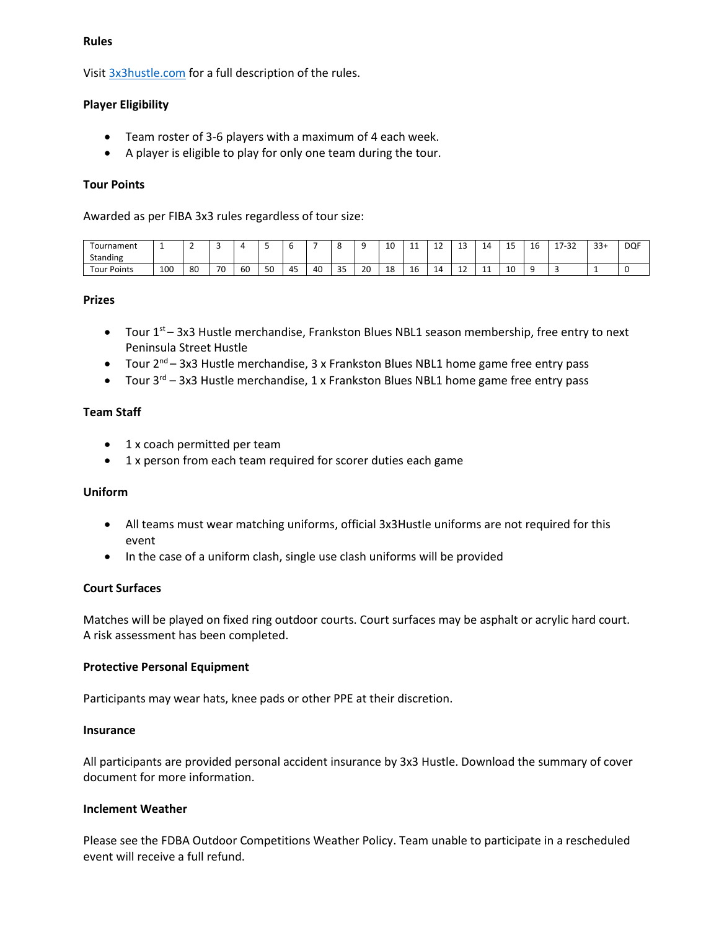#### **Rules**

Visi[t 3x3hustle.com](https://www.3x3hustle.com/) for a full description of the rules.

#### **Player Eligibility**

- Team roster of 3-6 players with a maximum of 4 each week.
- A player is eligible to play for only one team during the tour.

#### **Tour Points**

Awarded as per FIBA 3x3 rules regardless of tour size:

| Tournament<br>Standing | <b>.</b> |     |    |    |    |                         |    |          |    | 10<br>ᆚ |   | --                    | $\sim$<br><b></b> | ж.  | -- | . .<br>⊥∪ | 7.22<br>$1 - 7$<br>ັ<br>- - | $33+$ | <b>DOF</b> |
|------------------------|----------|-----|----|----|----|-------------------------|----|----------|----|---------|---|-----------------------|-------------------|-----|----|-----------|-----------------------------|-------|------------|
| <b>Four Points</b>     | 100      | -80 | 70 | 60 | 50 | $\sim$ $-$<br>лτ<br>г., | 40 | 35<br>-- | 20 | 18      | - | . .<br>$\Delta$<br>-- | . .<br>ᅩ          | . . | 10 |           |                             |       |            |

#### **Prizes**

- Tour 1<sup>st</sup> 3x3 Hustle merchandise, Frankston Blues NBL1 season membership, free entry to next Peninsula Street Hustle
- Tour 2<sup>nd</sup> 3x3 Hustle merchandise, 3 x Frankston Blues NBL1 home game free entry pass
- Tour  $3^{rd}$  3x3 Hustle merchandise, 1 x Frankston Blues NBL1 home game free entry pass

#### **Team Staff**

- 1 x coach permitted per team
- 1 x person from each team required for scorer duties each game

#### **Uniform**

- All teams must wear matching uniforms, official 3x3Hustle uniforms are not required for this event
- In the case of a uniform clash, single use clash uniforms will be provided

## **Court Surfaces**

Matches will be played on fixed ring outdoor courts. Court surfaces may be asphalt or acrylic hard court. A risk assessment has been completed.

#### **Protective Personal Equipment**

Participants may wear hats, knee pads or other PPE at their discretion.

#### **Insurance**

All participants are provided personal accident insurance by 3x3 Hustle. Download the summary of cover document for more information.

#### **Inclement Weather**

Please see the FDBA Outdoor Competitions Weather Policy. Team unable to participate in a rescheduled event will receive a full refund.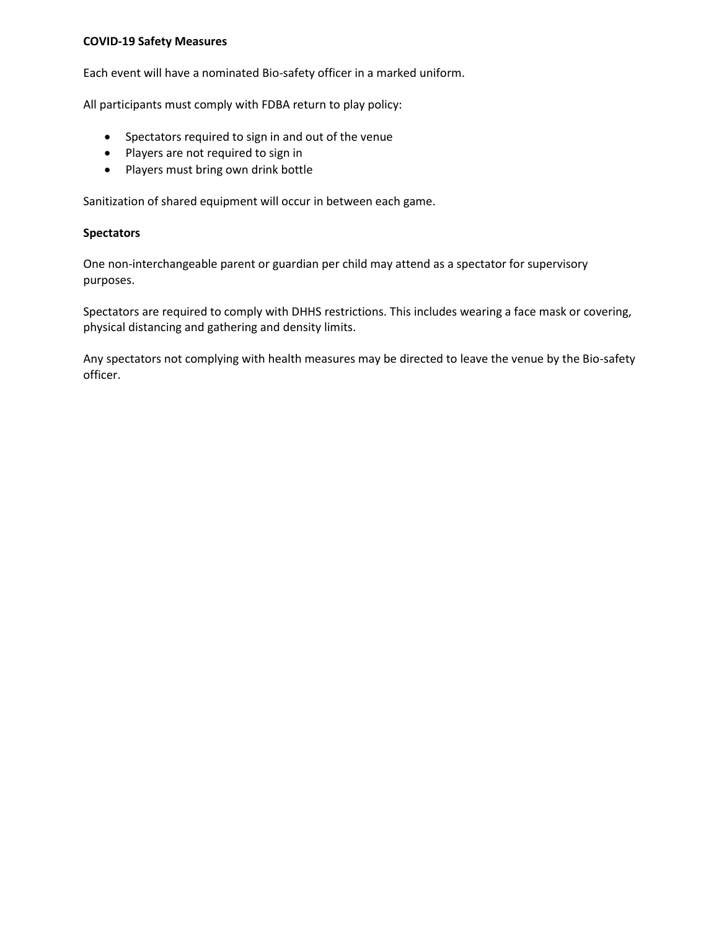#### **COVID-19 Safety Measures**

Each event will have a nominated Bio-safety officer in a marked uniform.

All participants must comply with FDBA return to play policy:

- Spectators required to sign in and out of the venue
- Players are not required to sign in
- Players must bring own drink bottle

Sanitization of shared equipment will occur in between each game.

#### **Spectators**

One non-interchangeable parent or guardian per child may attend as a spectator for supervisory purposes.

Spectators are required to comply with DHHS restrictions. This includes wearing a face mask or covering, physical distancing and gathering and density limits.

Any spectators not complying with health measures may be directed to leave the venue by the Bio-safety officer.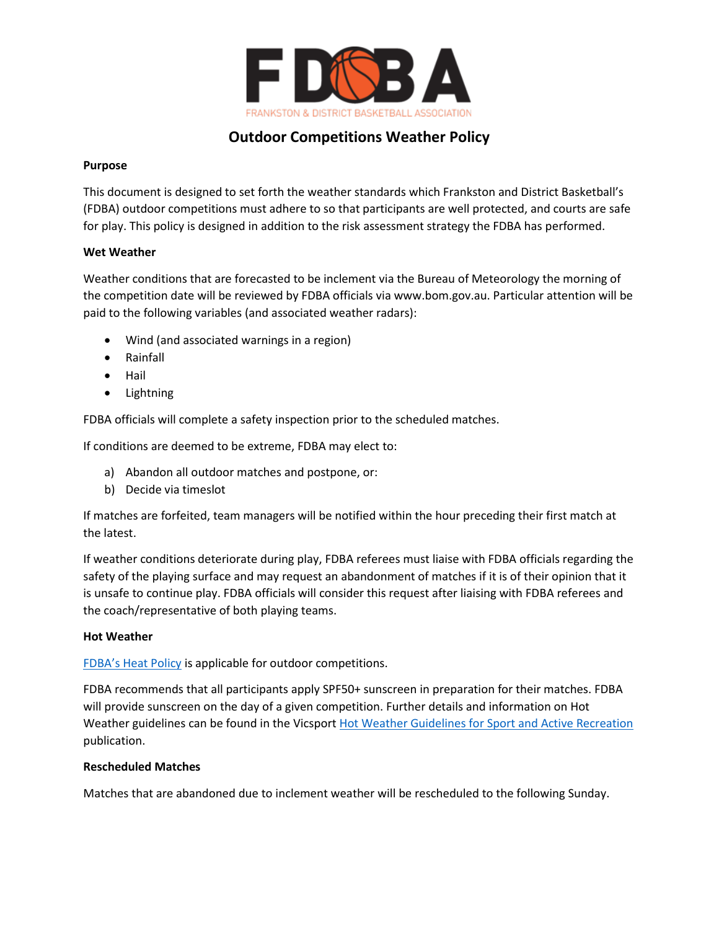

## **Outdoor Competitions Weather Policy**

## **Purpose**

This document is designed to set forth the weather standards which Frankston and District Basketball's (FDBA) outdoor competitions must adhere to so that participants are well protected, and courts are safe for play. This policy is designed in addition to the risk assessment strategy the FDBA has performed.

## **Wet Weather**

Weather conditions that are forecasted to be inclement via the Bureau of Meteorology the morning of the competition date will be reviewed by FDBA officials via www.bom.gov.au. Particular attention will be paid to the following variables (and associated weather radars):

- Wind (and associated warnings in a region)
- Rainfall
- Hail
- **Lightning**

FDBA officials will complete a safety inspection prior to the scheduled matches.

If conditions are deemed to be extreme, FDBA may elect to:

- a) Abandon all outdoor matches and postpone, or:
- b) Decide via timeslot

If matches are forfeited, team managers will be notified within the hour preceding their first match at the latest.

If weather conditions deteriorate during play, FDBA referees must liaise with FDBA officials regarding the safety of the playing surface and may request an abandonment of matches if it is of their opinion that it is unsafe to continue play. FDBA officials will consider this request after liaising with FDBA referees and the coach/representative of both playing teams.

## **Hot Weather**

[FDBA's Heat Policy](https://fdba.com.au/wp-content/uploads/2019/12/FDBA-Heat-Policy.pdf) is applicable for outdoor competitions.

FDBA recommends that all participants apply SPF50+ sunscreen in preparation for their matches. FDBA will provide sunscreen on the day of a given competition. Further details and information on Hot Weather guidelines can be found in the Vicsport [Hot Weather Guidelines for Sport and Active Recreation](https://goodcdn.app/memberhq/vicsport/uploads/Hot-Weather-Guidelines-for-Sport--2019.pdf) publication.

## **Rescheduled Matches**

Matches that are abandoned due to inclement weather will be rescheduled to the following Sunday.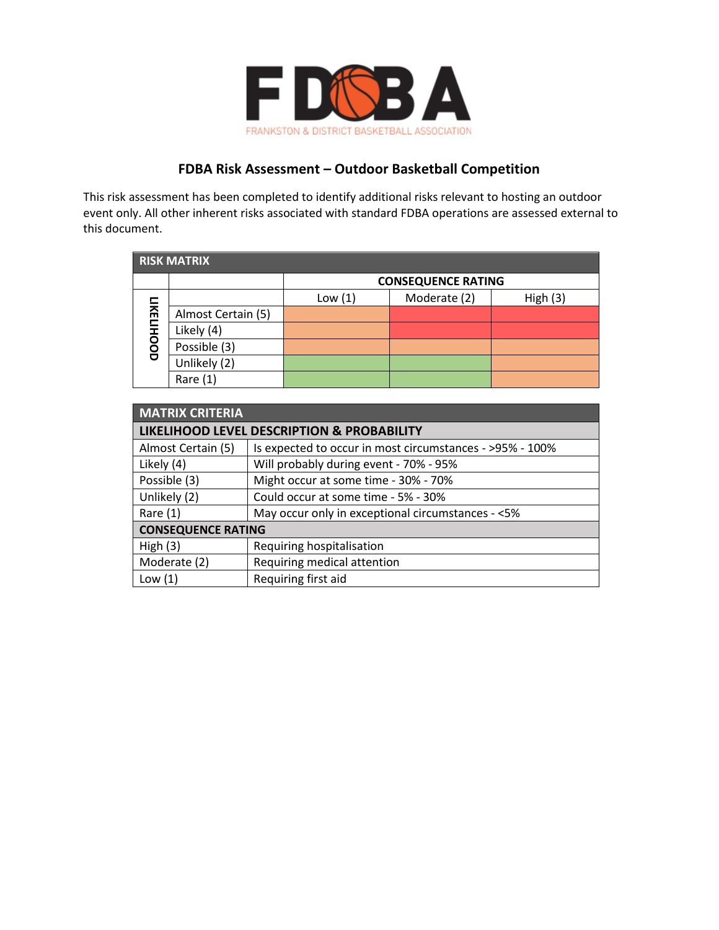

## **FDBA Risk Assessment – Outdoor Basketball Competition**

This risk assessment has been completed to identify additional risks relevant to hosting an outdoor event only. All other inherent risks associated with standard FDBA operations are assessed external to this document.

| <b>RISK MATRIX</b> |                    |                           |              |         |  |  |  |  |  |
|--------------------|--------------------|---------------------------|--------------|---------|--|--|--|--|--|
|                    |                    | <b>CONSEQUENCE RATING</b> |              |         |  |  |  |  |  |
| <b>LIKELIHOOD</b>  |                    | Low $(1)$                 | Moderate (2) | High(3) |  |  |  |  |  |
|                    | Almost Certain (5) |                           |              |         |  |  |  |  |  |
|                    | Likely (4)         |                           |              |         |  |  |  |  |  |
|                    | Possible (3)       |                           |              |         |  |  |  |  |  |
|                    | Unlikely (2)       |                           |              |         |  |  |  |  |  |
|                    | Rare $(1)$         |                           |              |         |  |  |  |  |  |

| <b>MATRIX CRITERIA</b>                                          |                                                          |  |  |  |  |  |  |  |
|-----------------------------------------------------------------|----------------------------------------------------------|--|--|--|--|--|--|--|
| LIKELIHOOD LEVEL DESCRIPTION & PROBABILITY                      |                                                          |  |  |  |  |  |  |  |
| Almost Certain (5)                                              | Is expected to occur in most circumstances - >95% - 100% |  |  |  |  |  |  |  |
| Likely (4)                                                      | Will probably during event - 70% - 95%                   |  |  |  |  |  |  |  |
| Possible (3)                                                    | Might occur at some time - 30% - 70%                     |  |  |  |  |  |  |  |
| Unlikely (2)                                                    | Could occur at some time - 5% - 30%                      |  |  |  |  |  |  |  |
| May occur only in exceptional circumstances - <5%<br>Rare $(1)$ |                                                          |  |  |  |  |  |  |  |
| <b>CONSEQUENCE RATING</b>                                       |                                                          |  |  |  |  |  |  |  |
| High $(3)$                                                      | Requiring hospitalisation                                |  |  |  |  |  |  |  |
| Moderate (2)                                                    | Requiring medical attention                              |  |  |  |  |  |  |  |
| Low $(1)$                                                       | Requiring first aid                                      |  |  |  |  |  |  |  |